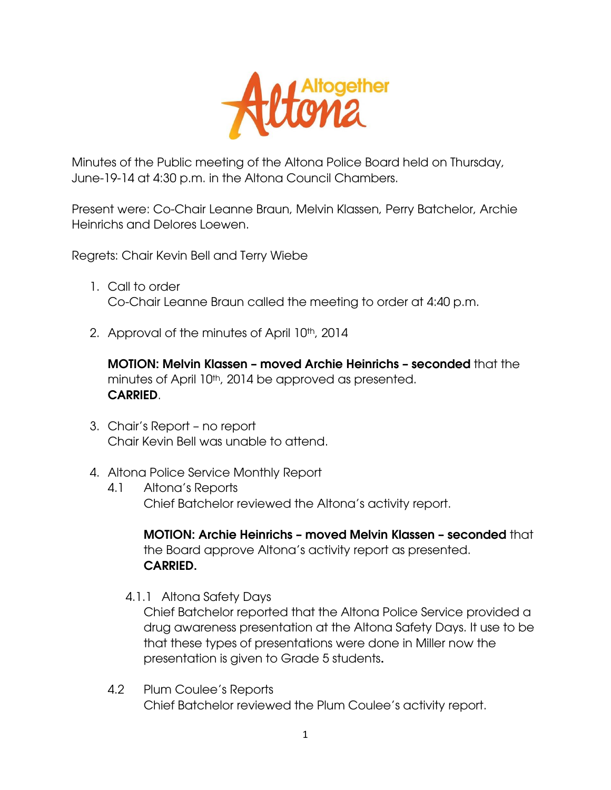

Minutes of the Public meeting of the Altona Police Board held on Thursday, June-19-14 at 4:30 p.m. in the Altona Council Chambers.

Present were: Co-Chair Leanne Braun, Melvin Klassen, Perry Batchelor, Archie Heinrichs and Delores Loewen.

Regrets: Chair Kevin Bell and Terry Wiebe

- 1. Call to order Co-Chair Leanne Braun called the meeting to order at 4:40 p.m.
- 2. Approval of the minutes of April 10<sup>th</sup>, 2014

**MOTION: Melvin Klassen – moved Archie Heinrichs – seconded** that the minutes of April 10<sup>th</sup>, 2014 be approved as presented. **CARRIED**.

- 3. Chair's Report no report Chair Kevin Bell was unable to attend.
- 4. Altona Police Service Monthly Report
	- 4.1 Altona's Reports Chief Batchelor reviewed the Altona's activity report.

**MOTION: Archie Heinrichs – moved Melvin Klassen – seconded** that the Board approve Altona's activity report as presented. **CARRIED.**

4.1.1 Altona Safety Days

Chief Batchelor reported that the Altona Police Service provided a drug awareness presentation at the Altona Safety Days. It use to be that these types of presentations were done in Miller now the presentation is given to Grade 5 students**.**

4.2 Plum Coulee's Reports Chief Batchelor reviewed the Plum Coulee's activity report.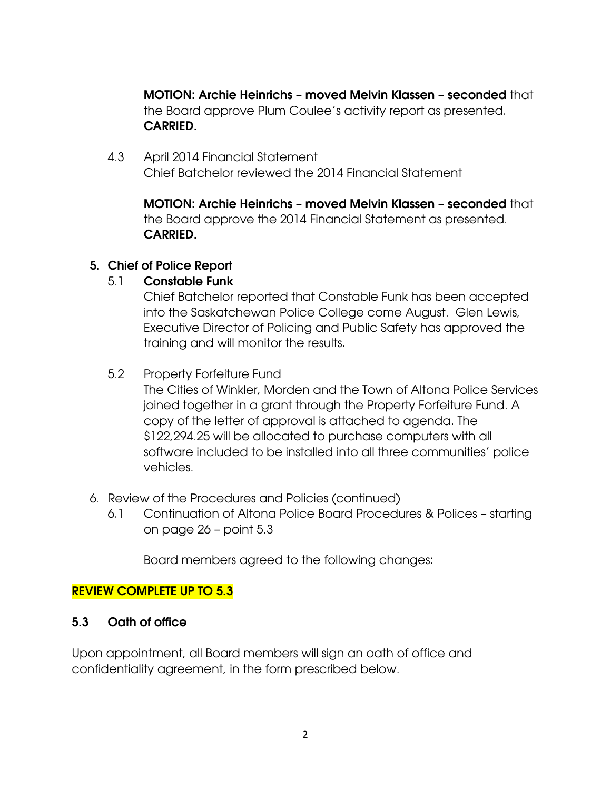**MOTION: Archie Heinrichs – moved Melvin Klassen – seconded** that the Board approve Plum Coulee's activity report as presented. **CARRIED.**

4.3 April 2014 Financial Statement Chief Batchelor reviewed the 2014 Financial Statement

**MOTION: Archie Heinrichs – moved Melvin Klassen – seconded** that the Board approve the 2014 Financial Statement as presented. **CARRIED.**

## **5. Chief of Police Report**

# 5.1 **Constable Funk**

Chief Batchelor reported that Constable Funk has been accepted into the Saskatchewan Police College come August. Glen Lewis, Executive Director of Policing and Public Safety has approved the training and will monitor the results.

# 5.2 Property Forfeiture Fund

The Cities of Winkler, Morden and the Town of Altona Police Services joined together in a grant through the Property Forfeiture Fund. A copy of the letter of approval is attached to agenda. The \$122,294.25 will be allocated to purchase computers with all software included to be installed into all three communities' police vehicles.

- 6. Review of the Procedures and Policies (continued)
	- 6.1 Continuation of Altona Police Board Procedures & Polices starting on page 26 – point 5.3

Board members agreed to the following changes:

## **REVIEW COMPLETE UP TO 5.3**

## **5.3 Oath of office**

Upon appointment, all Board members will sign an oath of office and confidentiality agreement, in the form prescribed below.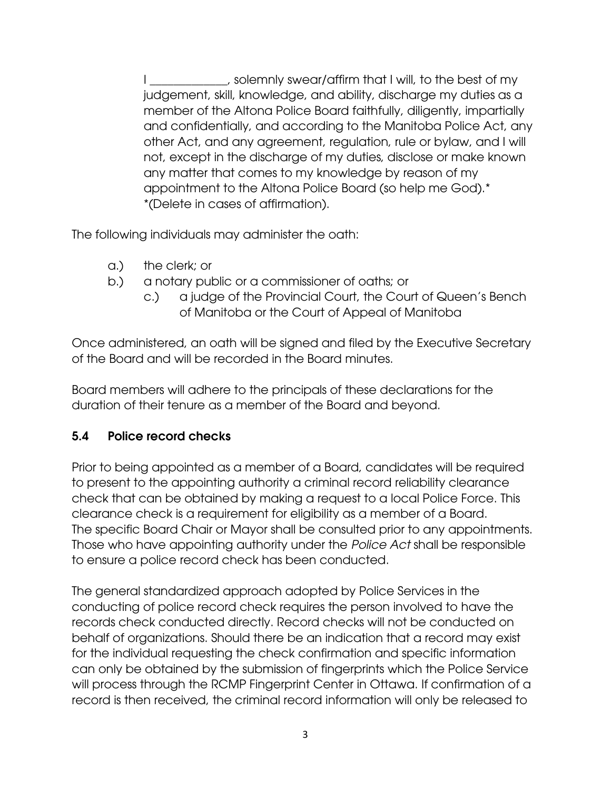I \_\_\_\_\_\_\_\_\_\_\_, solemnly swear/affirm that I will, to the best of my judgement, skill, knowledge, and ability, discharge my duties as a member of the Altona Police Board faithfully, diligently, impartially and confidentially, and according to the Manitoba Police Act, any other Act, and any agreement, regulation, rule or bylaw, and I will not, except in the discharge of my duties, disclose or make known any matter that comes to my knowledge by reason of my appointment to the Altona Police Board (so help me God).\* \*(Delete in cases of affirmation).

The following individuals may administer the oath:

- a.) the clerk; or
- b.) a notary public or a commissioner of oaths; or
	- c.) a judge of the Provincial Court, the Court of Queen's Bench of Manitoba or the Court of Appeal of Manitoba

Once administered, an oath will be signed and filed by the Executive Secretary of the Board and will be recorded in the Board minutes.

Board members will adhere to the principals of these declarations for the duration of their tenure as a member of the Board and beyond.

## **5.4 Police record checks**

Prior to being appointed as a member of a Board, candidates will be required to present to the appointing authority a criminal record reliability clearance check that can be obtained by making a request to a local Police Force. This clearance check is a requirement for eligibility as a member of a Board. The specific Board Chair or Mayor shall be consulted prior to any appointments. Those who have appointing authority under the *Police Act* shall be responsible to ensure a police record check has been conducted.

The general standardized approach adopted by Police Services in the conducting of police record check requires the person involved to have the records check conducted directly. Record checks will not be conducted on behalf of organizations. Should there be an indication that a record may exist for the individual requesting the check confirmation and specific information can only be obtained by the submission of fingerprints which the Police Service will process through the RCMP Fingerprint Center in Ottawa. If confirmation of a record is then received, the criminal record information will only be released to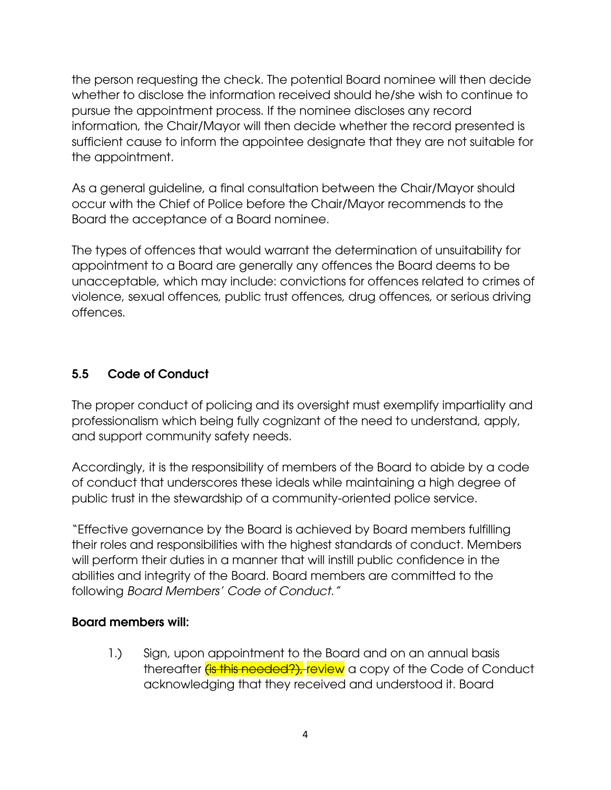the person requesting the check. The potential Board nominee will then decide whether to disclose the information received should he/she wish to continue to pursue the appointment process. If the nominee discloses any record information, the Chair/Mayor will then decide whether the record presented is sufficient cause to inform the appointee designate that they are not suitable for the appointment.

As a general guideline, a final consultation between the Chair/Mayor should occur with the Chief of Police before the Chair/Mayor recommends to the Board the acceptance of a Board nominee.

The types of offences that would warrant the determination of unsuitability for appointment to a Board are generally any offences the Board deems to be unacceptable, which may include: convictions for offences related to crimes of violence, sexual offences, public trust offences, drug offences, or serious driving offences.

# **5.5 Code of Conduct**

The proper conduct of policing and its oversight must exemplify impartiality and professionalism which being fully cognizant of the need to understand, apply, and support community safety needs.

Accordingly, it is the responsibility of members of the Board to abide by a code of conduct that underscores these ideals while maintaining a high degree of public trust in the stewardship of a community-oriented police service.

"Effective governance by the Board is achieved by Board members fulfilling their roles and responsibilities with the highest standards of conduct. Members will perform their duties in a manner that will instill public confidence in the abilities and integrity of the Board. Board members are committed to the following *Board Members' Code of Conduct."*

#### **Board members will:**

1.) Sign, upon appointment to the Board and on an annual basis thereafter (is this needed?), review a copy of the Code of Conduct acknowledging that they received and understood it. Board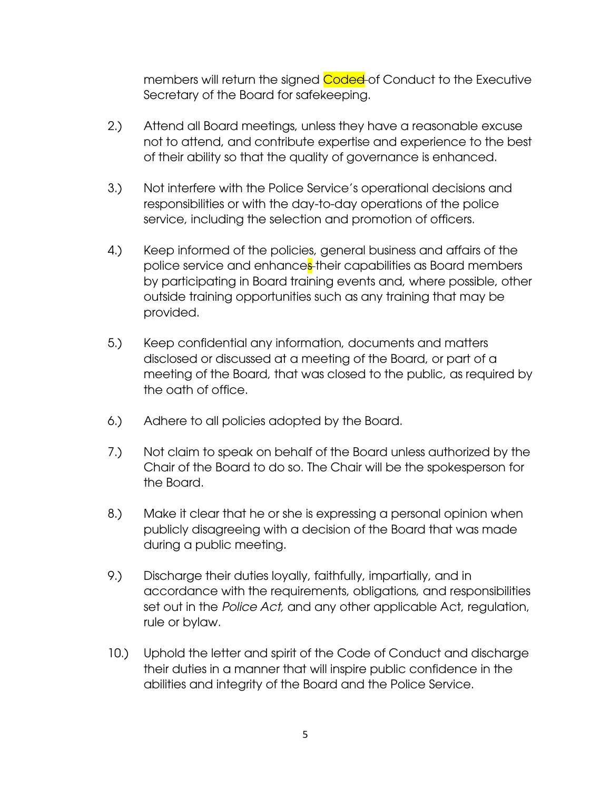members will return the signed Coded of Conduct to the Executive Secretary of the Board for safekeeping.

- 2.) Attend all Board meetings, unless they have a reasonable excuse not to attend, and contribute expertise and experience to the best of their ability so that the quality of governance is enhanced.
- 3.) Not interfere with the Police Service's operational decisions and responsibilities or with the day-to-day operations of the police service, including the selection and promotion of officers.
- 4.) Keep informed of the policies, general business and affairs of the police service and enhances-their capabilities as Board members by participating in Board training events and, where possible, other outside training opportunities such as any training that may be provided.
- 5.) Keep confidential any information, documents and matters disclosed or discussed at a meeting of the Board, or part of a meeting of the Board, that was closed to the public, as required by the oath of office.
- 6.) Adhere to all policies adopted by the Board.
- 7.) Not claim to speak on behalf of the Board unless authorized by the Chair of the Board to do so. The Chair will be the spokesperson for the Board.
- 8.) Make it clear that he or she is expressing a personal opinion when publicly disagreeing with a decision of the Board that was made during a public meeting.
- 9.) Discharge their duties loyally, faithfully, impartially, and in accordance with the requirements, obligations, and responsibilities set out in the *Police Act,* and any other applicable Act, regulation, rule or bylaw.
- 10.) Uphold the letter and spirit of the Code of Conduct and discharge their duties in a manner that will inspire public confidence in the abilities and integrity of the Board and the Police Service.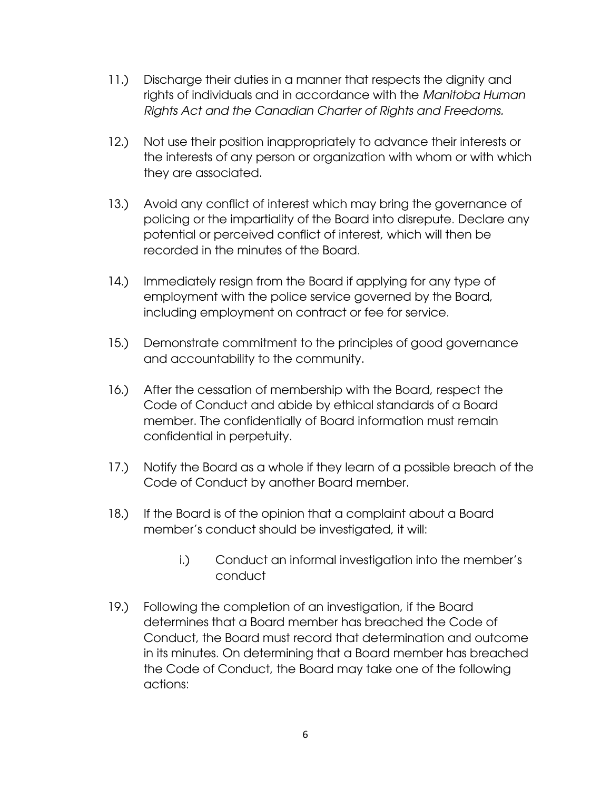- 11.) Discharge their duties in a manner that respects the dignity and rights of individuals and in accordance with the *Manitoba Human Rights Act and the Canadian Charter of Rights and Freedoms.*
- 12.) Not use their position inappropriately to advance their interests or the interests of any person or organization with whom or with which they are associated.
- 13.) Avoid any conflict of interest which may bring the governance of policing or the impartiality of the Board into disrepute. Declare any potential or perceived conflict of interest, which will then be recorded in the minutes of the Board.
- 14.) Immediately resign from the Board if applying for any type of employment with the police service governed by the Board, including employment on contract or fee for service.
- 15.) Demonstrate commitment to the principles of good governance and accountability to the community.
- 16.) After the cessation of membership with the Board, respect the Code of Conduct and abide by ethical standards of a Board member. The confidentially of Board information must remain confidential in perpetuity.
- 17.) Notify the Board as a whole if they learn of a possible breach of the Code of Conduct by another Board member.
- 18.) If the Board is of the opinion that a complaint about a Board member's conduct should be investigated, it will:
	- i.) Conduct an informal investigation into the member's conduct
- 19.) Following the completion of an investigation, if the Board determines that a Board member has breached the Code of Conduct, the Board must record that determination and outcome in its minutes. On determining that a Board member has breached the Code of Conduct, the Board may take one of the following actions: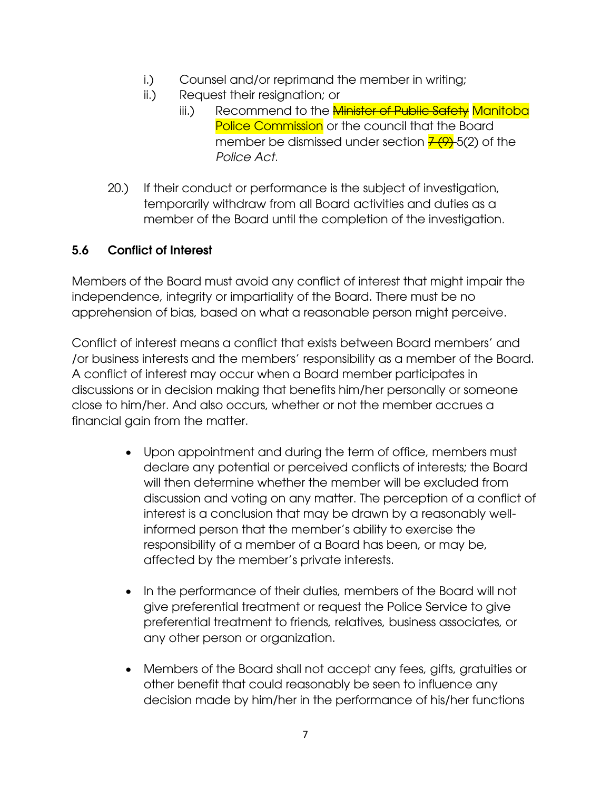- i.) Counsel and/or reprimand the member in writing;
- ii.) Request their resignation; or
	- iii.) Recommend to the *Minister of Public Safety Manitoba* Police Commission or the council that the Board member be dismissed under section  $\frac{7(9)}{6}$  5(2) of the *Police Act.*
- 20.) If their conduct or performance is the subject of investigation, temporarily withdraw from all Board activities and duties as a member of the Board until the completion of the investigation.

# **5.6 Conflict of Interest**

Members of the Board must avoid any conflict of interest that might impair the independence, integrity or impartiality of the Board. There must be no apprehension of bias, based on what a reasonable person might perceive.

Conflict of interest means a conflict that exists between Board members' and /or business interests and the members' responsibility as a member of the Board. A conflict of interest may occur when a Board member participates in discussions or in decision making that benefits him/her personally or someone close to him/her. And also occurs, whether or not the member accrues a financial gain from the matter.

- Upon appointment and during the term of office, members must declare any potential or perceived conflicts of interests; the Board will then determine whether the member will be excluded from discussion and voting on any matter. The perception of a conflict of interest is a conclusion that may be drawn by a reasonably wellinformed person that the member's ability to exercise the responsibility of a member of a Board has been, or may be, affected by the member's private interests.
- In the performance of their duties, members of the Board will not give preferential treatment or request the Police Service to give preferential treatment to friends, relatives, business associates, or any other person or organization.
- Members of the Board shall not accept any fees, gifts, gratuities or other benefit that could reasonably be seen to influence any decision made by him/her in the performance of his/her functions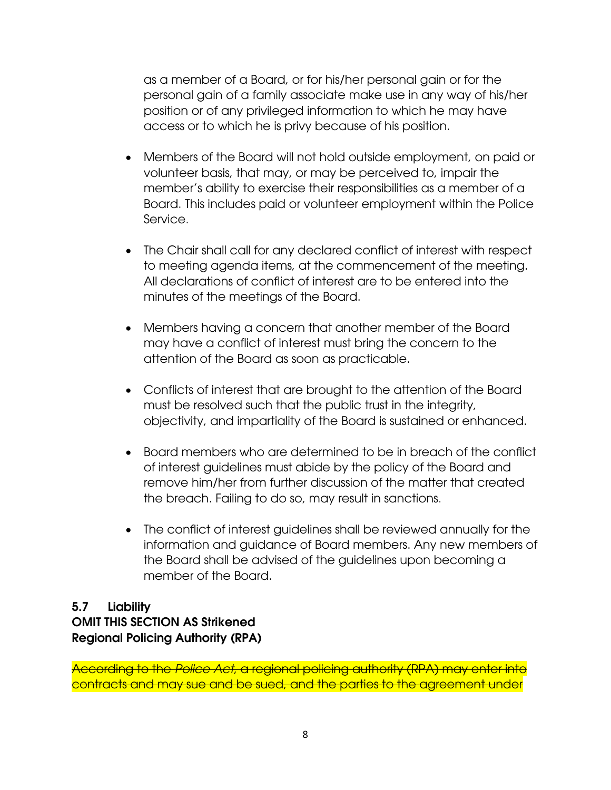as a member of a Board, or for his/her personal gain or for the personal gain of a family associate make use in any way of his/her position or of any privileged information to which he may have access or to which he is privy because of his position.

- Members of the Board will not hold outside employment, on paid or volunteer basis, that may, or may be perceived to, impair the member's ability to exercise their responsibilities as a member of a Board. This includes paid or volunteer employment within the Police Service.
- The Chair shall call for any declared conflict of interest with respect to meeting agenda items, at the commencement of the meeting. All declarations of conflict of interest are to be entered into the minutes of the meetings of the Board.
- Members having a concern that another member of the Board may have a conflict of interest must bring the concern to the attention of the Board as soon as practicable.
- Conflicts of interest that are brought to the attention of the Board must be resolved such that the public trust in the integrity, objectivity, and impartiality of the Board is sustained or enhanced.
- Board members who are determined to be in breach of the conflict of interest guidelines must abide by the policy of the Board and remove him/her from further discussion of the matter that created the breach. Failing to do so, may result in sanctions.
- The conflict of interest guidelines shall be reviewed annually for the information and guidance of Board members. Any new members of the Board shall be advised of the guidelines upon becoming a member of the Board.

### **5.7 Liability OMIT THIS SECTION AS Strikened Regional Policing Authority (RPA)**

According to the *Police Act*, a regional policing authority (RPA) may enter into contracts and may sue and be sued, and the parties to the agreement under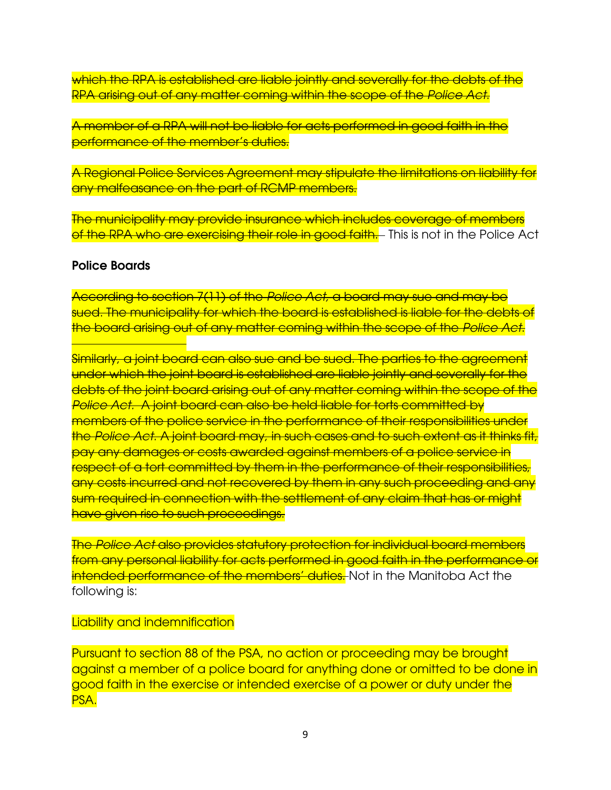which the RPA is established are liable jointly and severally for the debts of the RPA arising out of any matter coming within the scope of the *Police Act*.

A member of a RPA will not be liable for acts performed in good faith in the performance of the member's duties.

A Regional Police Services Agreement may stipulate the limitations on liability for any malfeasance on the part of RCMP members.

The municipality may provide insurance which includes coverage of members of the RPA who are exercising their role in good faith.— This is not in the Police Act

#### **Police Boards**

According to section 7(11) of the *Police Act,* a board may sue and may be sued. The municipality for which the board is established is liable for the debts of the board arising out of any matter coming within the scope of the *Police Act*.

Similarly, a joint board can also sue and be sued. The parties to the agreement under which the joint board is established are liable jointly and severally for the debts of the joint board arising out of any matter coming within the scope of the *Police Act.* A joint board can also be held liable for torts committed by members of the police service in the performance of their responsibilities under the *Police Act*. A joint board may, in such cases and to such extent as it thinks fit, pay any damages or costs awarded against members of a police service in respect of a tort committed by them in the performance of their responsibilities, any costs incurred and not recovered by them in any such proceeding and any sum required in connection with the settlement of any claim that has or might have given rise to such proceedings.

The *Police Act* also provides statutory protection for individual board members from any personal liability for acts performed in good faith in the performance or intended performance of the members' duties. Not in the Manitoba Act the following is:

Liability and indemnification

Pursuant to section 88 of the PSA, no action or proceeding may be brought against a member of a police board for anything done or omitted to be done in good faith in the exercise or intended exercise of a power or duty under the PSA.